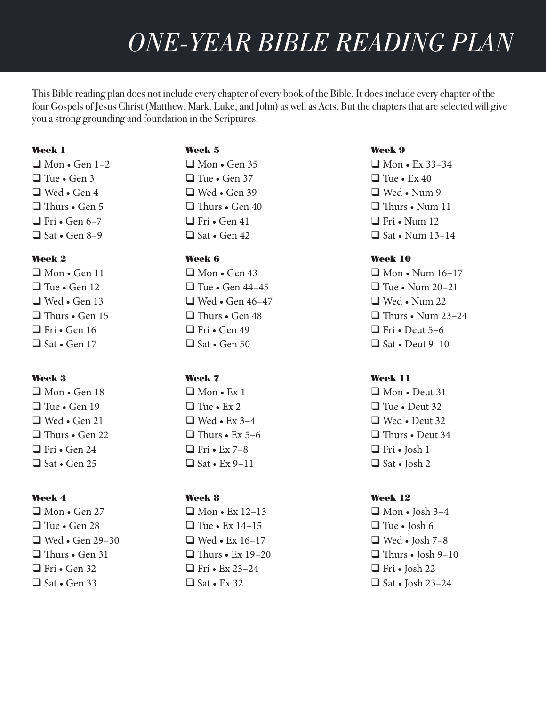This Bible reading plan does not include every chapter of every book of the Bible. It does include every chapter of the four Gospels of Jesus Christ (Matthew, Mark, Luke, and John) as well as Acts. But the chapters that are selected will give you a strong grounding and foundation in the Scriptures.

### Week 1

 $\Box$  Mon • Gen 1–2  $\Box$  Tue • Gen 3  $\Box$  Wed • Gen 4  $\Box$  Thurs • Gen 5  $\Box$  Fri • Gen 6–7  $\Box$  Sat • Gen 8–9

# Week 2

 $\Box$  Mon • Gen 11  $\Box$  Tue • Gen 12  $\Box$  Wed • Gen 13  $\Box$  Thurs • Gen 15  $\Box$  Fri • Gen 16  $\Box$  Sat • Gen 17

# Week 3

 $\Box$  Mon • Gen 18  $\Box$  Tue • Gen 19  $\Box$  Wed • Gen 21  $\Box$  Thurs • Gen 22  $\Box$  Fri • Gen 24  $\Box$  Sat • Gen 25

# Week 4

 $\Box$  Mon • Gen 27  $\Box$  Tue • Gen 28  $\Box$  Wed • Gen 29–30  $\Box$  Thurs • Gen 31  $\Box$  Fri • Gen 32  $\Box$  Sat • Gen 33

# Week 5

 $\Box$  Mon • Gen 35  $\Box$  Tue • Gen 37  $\Box$  Wed • Gen 39  $\Box$  Thurs • Gen 40  $\Box$  Fri • Gen 41  $\Box$  Sat • Gen 42

# Week 6

 $\Box$  Mon • Gen 43  $\Box$  Tue • Gen 44–45  $\Box$  Wed • Gen 46–47  $\Box$  Thurs • Gen 48  $\Box$  Fri • Gen 49  $\Box$  Sat • Gen 50

# Week 7

 $\Box$  Mon • Ex 1  $\Box$  Tue • Ex 2  $\Box$  Wed • Ex 3–4  $\Box$  Thurs • Ex 5–6  $\Box$  Fri • Ex 7–8  $\Box$  Sat • Ex 9–11

# Week 8

 $\Box$  Mon • Ex 12–13  $\Box$  Tue • Ex 14–15  $\Box$  Wed • Ex 16–17  $\Box$  Thurs • Ex 19-20  $\Box$  Fri • Ex 23–24  $\Box$  Sat • Ex 32

# Week 9

 $\Box$  Mon • Ex 33–34  $\Box$  Tue • Ex 40  $\Box$  Wed • Num 9  $\Box$  Thurs • Num 11  $\Box$  Fri • Num 12  $\Box$  Sat • Num 13–14

# Week 10

 $\Box$  Mon • Num 16–17  $\Box$  Tue • Num 20–21  $\Box$  Wed • Num 22  $\Box$  Thurs • Num 23–24  $\Box$  Fri • Deut 5–6  $\Box$  Sat • Deut 9–10

# Week 11

 $\Box$  Mon • Deut 31  $\Box$  Tue • Deut 32  $\Box$  Wed • Deut 32  $\Box$  Thurs • Deut 34  $\Box$  Fri • Josh 1  $\Box$  Sat • Josh 2

# Week 12

 $\Box$  Mon • Josh 3–4  $\Box$  Tue • Josh 6  $\Box$  Wed • Josh 7–8  $\Box$  Thurs • Josh 9–10  $\Box$  Fri • Josh 22  $\Box$  Sat • Josh 23–24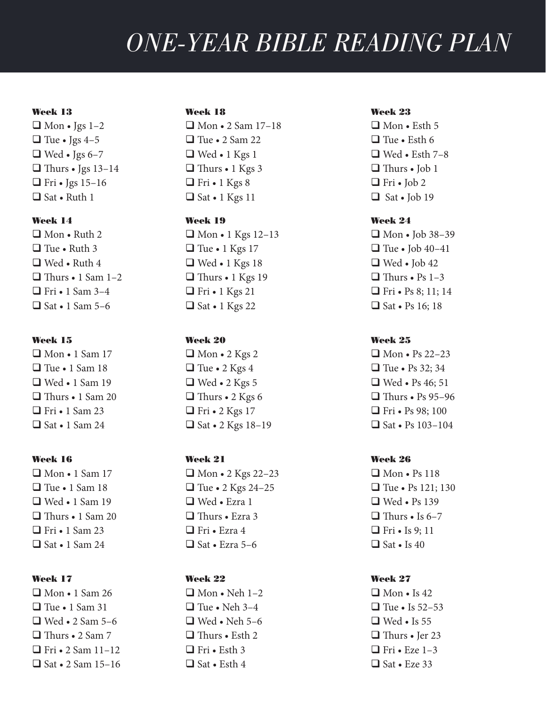#### Week 13

 $\Box$  Mon • Jgs 1–2  $\Box$  Tue • Jgs 4–5  $\Box$  Wed • Jgs 6–7  $\Box$  Thurs • Jgs 13–14  $\Box$  Fri • Jgs 15–16  $\Box$  Sat • Ruth 1

# Week 14

 $\Box$  Mon • Ruth 2  $\Box$  Tue • Ruth 3  $\Box$  Wed • Ruth 4  $\Box$  Thurs • 1 Sam 1–2  $\Box$  Fri • 1 Sam 3–4  $\Box$  Sat • 1 Sam 5–6

### Week 15

 $\Box$  Mon • 1 Sam 17  $\Box$  Tue • 1 Sam 18  $\Box$  Wed • 1 Sam 19  $\Box$  Thurs • 1 Sam 20  $\Box$  Fri • 1 Sam 23  $\Box$  Sat • 1 Sam 24

#### Week 16

 $\Box$  Mon • 1 Sam 17  $\Box$  Tue • 1 Sam 18 **□ Wed • 1 Sam 19**  $\Box$  Thurs • 1 Sam 20  $\Box$  Fri • 1 Sam 23  $\Box$  Sat • 1 Sam 24

# Week 17

 $\Box$  Mon • 1 Sam 26  $\Box$  Tue • 1 Sam 31  $\Box$  Wed • 2 Sam 5–6  $\Box$  Thurs • 2 Sam 7  $\Box$  Fri • 2 Sam 11–12  $\Box$  Sat • 2 Sam 15–16

#### Week 18

 $\Box$  Mon • 2 Sam 17–18  $\Box$  Tue • 2 Sam 22  $\Box$  Wed • 1 Kgs 1  $\Box$  Thurs • 1 Kgs 3  $\Box$  Fri • 1 Kgs 8  $\Box$  Sat • 1 Kgs 11

## Week 19

 $\Box$  Mon • 1 Kgs 12–13  $\Box$  Tue • 1 Kgs 17  $\Box$  Wed • 1 Kgs 18  $\Box$  Thurs • 1 Kgs 19  $\Box$  Fri • 1 Kgs 21  $\Box$  Sat • 1 Kgs 22

### Week 20

 $\Box$  Mon • 2 Kgs 2  $\Box$  Tue • 2 Kgs 4  $\Box$  Wed • 2 Kgs 5  $\Box$  Thurs • 2 Kgs 6  $\Box$  Fri • 2 Kgs 17  $\Box$  Sat • 2 Kgs 18–19

## Week 21

 $\Box$  Mon • 2 Kgs 22–23  $\Box$  Tue • 2 Kgs 24–25  $\Box$  Wed • Ezra 1  $\Box$  Thurs • Ezra 3  $\Box$  Fri • Ezra 4  $\Box$  Sat • Ezra 5–6

# Week 22

 $\Box$  Mon • Neh 1–2  $\Box$  Tue • Neh 3–4  $\Box$  Wed • Neh 5–6  $\Box$  Thurs • Esth 2  $\Box$  Fri • Esth 3  $\Box$  Sat • Esth 4

#### Week 23

 $\Box$  Mon • Esth 5  $\Box$  Tue • Esth 6  $\Box$  Wed • Esth 7–8  $\Box$  Thurs • Job 1  $\Box$  Fri • Job 2  $\Box$  Sat • Job 19

# Week 24

 $\Box$  Mon • Job 38-39  $\Box$  Tue • Job 40–41  $\Box$  Wed • Job 42  $\Box$  Thurs • Ps 1–3  $\Box$  Fri • Ps 8; 11; 14  $\Box$  Sat • Ps 16; 18

# Week 25

 $\Box$  Mon • Ps 22–23  $\Box$  Tue • Ps 32; 34  $\Box$  Wed • Ps 46; 51  $\Box$  Thurs • Ps 95–96  $\Box$  Fri • Ps 98; 100  $\Box$  Sat • Ps 103–104

### Week 26

 $\Box$  Mon • Ps 118  $\Box$  Tue • Ps 121; 130  $\Box$  Wed • Ps 139  $\Box$  Thurs • Is 6–7  $\Box$  Fri • Is 9; 11  $\Box$  Sat • Is 40

# Week 27

 $\Box$  Mon • Is 42  $\Box$  Tue • Is 52–53  $\Box$  Wed • Is 55  $\Box$  Thurs • Jer 23  $\Box$  Fri • Eze 1–3  $\Box$  Sat • Eze 33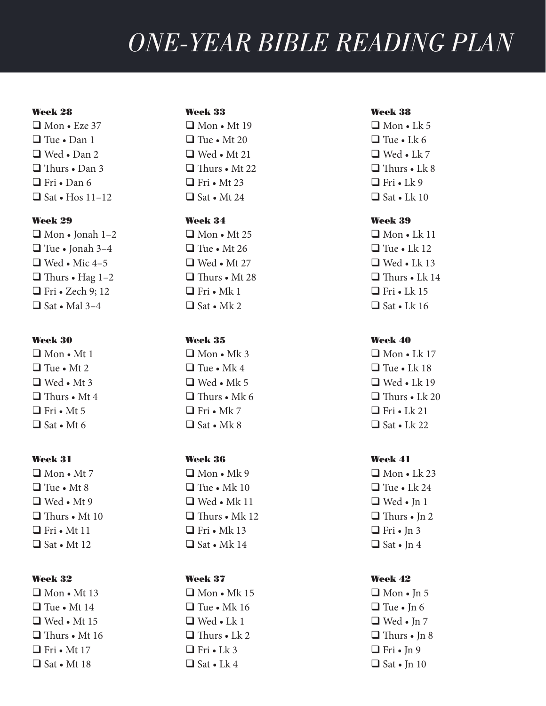#### Week 28

 $\Box$  Mon • Eze 37  $\Box$  Tue • Dan 1  $\Box$  Wed • Dan 2  $\Box$  Thurs • Dan 3  $\Box$  Fri • Dan 6  $\Box$  Sat • Hos 11–12

# Week 29

 $\Box$  Mon • Jonah 1–2  $\Box$  Tue • Jonah 3–4  $\Box$  Wed • Mic 4–5  $\Box$  Thurs • Hag 1–2  $\Box$  Fri • Zech 9; 12  $\Box$  Sat • Mal 3–4

### Week 30

 $\Box$  Mon • Mt 1  $\Box$  Tue • Mt 2  $\Box$  Wed • Mt 3  $\Box$  Thurs • Mt 4  $\Box$  Fri • Mt 5  $\Box$  Sat • Mt 6

#### Week 31

 $\Box$  Mon • Mt 7  $\Box$  Tue • Mt 8  $\Box$  Wed • Mt 9  $\Box$  Thurs • Mt 10  $\Box$  Fri • Mt 11  $\Box$  Sat • Mt 12

# Week 32

 $\Box$  Mon • Mt 13  $\Box$  Tue • Mt 14  $\Box$  Wed • Mt 15  $\Box$  Thurs • Mt 16  $\Box$  Fri • Mt 17  $\Box$  Sat • Mt 18

#### Week 33

 $\Box$  Mon • Mt 19  $\Box$  Tue • Mt 20  $\Box$  Wed • Mt 21  $\Box$  Thurs • Mt 22  $\Box$  Fri • Mt 23  $\Box$  Sat • Mt 24

# Week 34

 $\Box$  Mon • Mt 25  $\Box$  Tue • Mt 26  $\Box$  Wed • Mt 27  $\Box$  Thurs • Mt 28  $\Box$  Fri • Mk 1  $\Box$  Sat • Mk 2

### Week 35

 $\Box$  Mon • Mk 3  $\Box$  Tue • Mk 4  $\Box$  Wed • Mk 5  $\Box$  Thurs • Mk 6  $\Box$  Fri • Mk 7  $\Box$  Sat • Mk 8

### Week 36

 $\Box$  Mon • Mk 9  $\Box$  Tue • Mk 10  $\Box$  Wed • Mk 11  $\Box$  Thurs • Mk 12  $\Box$  Fri • Mk 13  $\Box$  Sat • Mk 14

# Week 37

 $\Box$  Mon • Mk 15  $\Box$  Tue • Mk 16  $\Box$  Wed • Lk 1  $\Box$  Thurs • Lk 2  $\Box$  Fri • Lk 3  $\Box$  Sat • Lk 4

#### Week 38

 $\Box$  Mon • Lk 5  $\Box$  Tue • Lk 6  $\Box$  Wed • Lk 7  $\Box$  Thurs • Lk 8  $\Box$  Fri • Lk 9  $\Box$  Sat • Lk 10

# Week 39

 $\Box$  Mon • Lk 11  $\Box$  Tue • Lk 12  $\Box$  Wed • Lk 13  $\Box$  Thurs • Lk 14  $\Box$  Fri • Lk 15  $\Box$  Sat • Lk 16

# Week 40

 $\Box$  Mon • Lk 17  $\Box$  Tue • Lk 18  $\Box$  Wed • Lk 19  $\Box$  Thurs • Lk 20  $\Box$  Fri • Lk 21  $\Box$  Sat • Lk 22

### Week 41

 $\Box$  Mon • Lk 23  $\Box$  Tue • Lk 24  $\Box$  Wed • In 1  $\Box$  Thurs • In 2  $\Box$  Fri • In 3  $\Box$  Sat • Jn 4

# Week 42

 $\Box$  Mon • Jn 5  $\Box$  Tue • In 6  $\Box$  Wed • Jn 7  $\Box$  Thurs • Jn 8  $\Box$  Fri • Jn 9  $\Box$  Sat • Jn 10